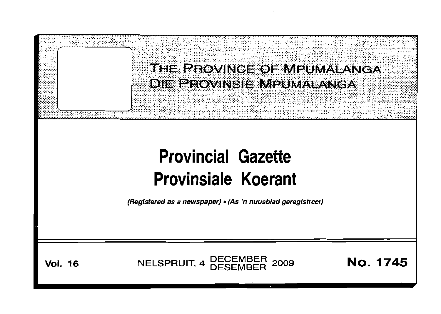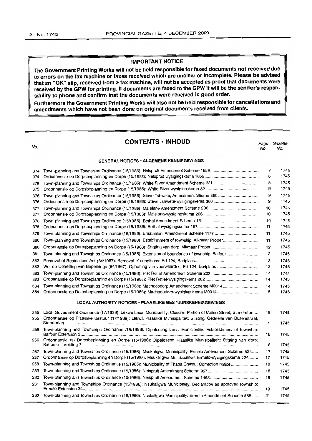## **IMPORTANT NOTICE**

**The Government Printing Works will not be held responsible for faxed documents not received due to errors on the fax machine or faxes received which are unclear or incomplete. Please be advised that an "OK" slip, received from a fax machine, will not be accepted as proof that documents were received by the GPW for printing. If documents are faxed to the GPW it will be the sender's responsibility to phone and confirm that the documents were received in good order.**

**Furthermore the Government Printing Works will also not be held responsible for cancellations and** I **amendments which have not been done on original documents received from clients.**

I

| No.                                             | <b>CONTENTS . INHOUD</b>                                                                                                                                                                                                          | Page<br>No. | Gazette<br>No. |  |  |
|-------------------------------------------------|-----------------------------------------------------------------------------------------------------------------------------------------------------------------------------------------------------------------------------------|-------------|----------------|--|--|
| <b>GENERAL NOTICES · ALGEMENE KENNISGEWINGS</b> |                                                                                                                                                                                                                                   |             |                |  |  |
| 374                                             |                                                                                                                                                                                                                                   | 8           | 1745           |  |  |
| 374                                             |                                                                                                                                                                                                                                   | 8           | 1745           |  |  |
| 375                                             | Town-planning and Townships Ordinance (15/1986): White River Amendment Scheme 321                                                                                                                                                 | 8           | 1745           |  |  |
| 375                                             |                                                                                                                                                                                                                                   | 9           | 1745           |  |  |
| 376                                             | Town-planning and Townships Ordinance (15/1986): Steve Tshwete, Amendment Sheme 360                                                                                                                                               | 9           | 1745           |  |  |
| 376                                             |                                                                                                                                                                                                                                   | 9           | 1745           |  |  |
| 377                                             |                                                                                                                                                                                                                                   | 10          | 1745           |  |  |
| 377                                             |                                                                                                                                                                                                                                   | 10          | 1745           |  |  |
| 378                                             |                                                                                                                                                                                                                                   | 10          | 1745           |  |  |
| 378                                             |                                                                                                                                                                                                                                   | 11          | 1745           |  |  |
| 379                                             |                                                                                                                                                                                                                                   | 11          | 1745           |  |  |
| 380                                             |                                                                                                                                                                                                                                   | 11          | 1745           |  |  |
| 380                                             |                                                                                                                                                                                                                                   | 12          | 1745           |  |  |
| 381                                             |                                                                                                                                                                                                                                   | 12          | 1745           |  |  |
| 382                                             |                                                                                                                                                                                                                                   | 13          | 1745           |  |  |
| 382                                             |                                                                                                                                                                                                                                   | 13          | 1745           |  |  |
| 383                                             |                                                                                                                                                                                                                                   | 14          | 1745           |  |  |
| 383                                             |                                                                                                                                                                                                                                   | 14          | 1745           |  |  |
| 384                                             | Town-planning and Townships Ordinance (15/1986): Machadodorp Amendment Scheme M0014                                                                                                                                               | 14          | 1745           |  |  |
| 384                                             | Ordonnansie op Dorpsbeplanning en Dorpe (15/1986): Machadodorp-wysigingskema M0014                                                                                                                                                | 15          | 1745           |  |  |
|                                                 | LOCAL AUTHORITY NOTICES • PLAASLIKE BESTUURSKENNISGEWINGS                                                                                                                                                                         |             |                |  |  |
| 255<br>255                                      | Local Government Ordinance (17/1939): Lekwa Local Municipality: Closure: Portion of Buiten Street, Standerton<br>Ordonnansie op Plaaslike Bestuur (17/1939): Lekwa Plaaslike Munisipaliteit: Sluiting: Gedeelte van Buitenstraat, | 15          | 1745           |  |  |
| 256                                             | Town-planning and Townships Ordinance (15/1986): Dipaleseng Local Municipality: Establishment of township:                                                                                                                        | 15<br>16    | 1745<br>1745   |  |  |
| 256                                             | Ordonnansie op Dorpsbeplanning en Dorpe (15/1986): Dipaleseng Plaaslike Munisipaliteit: Stigting van dorp:                                                                                                                        | 16          | 1745           |  |  |
| 257                                             | Town-planning and Townships Ordinance (15/1986): Msukaligwa Municipality: Ermelo Amendment Scheme 524                                                                                                                             | 17          | 1745           |  |  |
| 257                                             | Ordonnansie op Dorpsbeplanning en Dorpe (15/1986): Msukaligwa Munisipaliteit: Ermelo-wysigingskema 524                                                                                                                            | 17          | 1745           |  |  |
| 258                                             | Town-planning and Townships Ordinance (15/1986): Municipality of Thaba Chweu: Correction notice                                                                                                                                   | 18          | 1745           |  |  |
| 259                                             |                                                                                                                                                                                                                                   | 18          | 1745           |  |  |
| 260                                             |                                                                                                                                                                                                                                   | 18          | 1745           |  |  |
| 261<br>262                                      | Town-planning and Townships Ordinance (15/1986): Nsukaligwa Municipality: Declaration as approved township:<br>Town-planning and Townships Ordinance (15/1986): Nsukaligwa Municipality: Ermelo Amendment Scheme 555              | 19<br>21    | 1745<br>1745   |  |  |
|                                                 |                                                                                                                                                                                                                                   |             |                |  |  |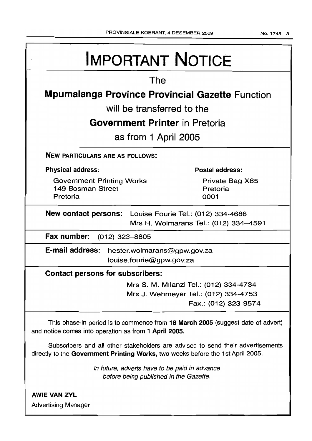No.1745 3

| <b>IMPORTANT NOTICE</b>                                                                                                                                            |                                        |  |  |  |  |
|--------------------------------------------------------------------------------------------------------------------------------------------------------------------|----------------------------------------|--|--|--|--|
| The                                                                                                                                                                |                                        |  |  |  |  |
| <b>Mpumalanga Province Provincial Gazette Function</b>                                                                                                             |                                        |  |  |  |  |
| will be transferred to the                                                                                                                                         |                                        |  |  |  |  |
|                                                                                                                                                                    |                                        |  |  |  |  |
| <b>Government Printer</b> in Pretoria                                                                                                                              |                                        |  |  |  |  |
| as from 1 April 2005                                                                                                                                               |                                        |  |  |  |  |
| <b>NEW PARTICULARS ARE AS FOLLOWS:</b>                                                                                                                             |                                        |  |  |  |  |
| <b>Physical address:</b>                                                                                                                                           | <b>Postal address:</b>                 |  |  |  |  |
| <b>Government Printing Works</b>                                                                                                                                   | Private Bag X85                        |  |  |  |  |
| 149 Bosman Street<br>Pretoria                                                                                                                                      | Pretoria<br>0001                       |  |  |  |  |
| <b>New contact persons:</b> Louise Fourie Tel.: (012) 334-4686<br>Mrs H. Wolmarans Tel.: (012) 334-4591                                                            |                                        |  |  |  |  |
| Fax number:<br>$(012)$ 323-8805                                                                                                                                    |                                        |  |  |  |  |
| E-mail address:<br>hester.wolmarans@gpw.gov.za                                                                                                                     |                                        |  |  |  |  |
| louise.fourie@gpw.gov.za                                                                                                                                           |                                        |  |  |  |  |
| <b>Contact persons for subscribers:</b>                                                                                                                            |                                        |  |  |  |  |
|                                                                                                                                                                    | Mrs S. M. Milanzi Tel.: (012) 334-4734 |  |  |  |  |
|                                                                                                                                                                    | Mrs J. Wehmeyer Tel.: (012) 334-4753   |  |  |  |  |
|                                                                                                                                                                    | Fax.: (012) 323-9574                   |  |  |  |  |
| This phase-in period is to commence from 18 March 2005 (suggest date of advert)<br>and notice comes into operation as from 1 April 2005.                           |                                        |  |  |  |  |
| Subscribers and all other stakeholders are advised to send their advertisements<br>directly to the Government Printing Works, two weeks before the 1st April 2005. |                                        |  |  |  |  |
| In future, adverts have to be paid in advance<br>before being published in the Gazette.                                                                            |                                        |  |  |  |  |
| <b>AWIE VAN ZYL</b>                                                                                                                                                |                                        |  |  |  |  |

Advertising Manager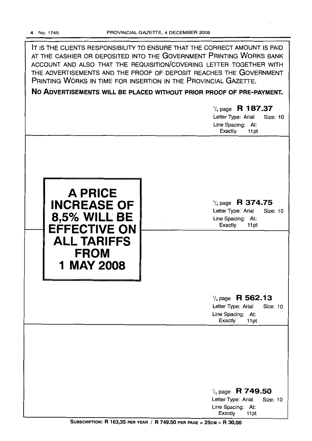IT IS THE CLIENTS RESPONSIBILITY TO ENSURE THAT THE CORRECT AMOUNT IS PAID AT THE CASHIER OR DEPOSITED INTO THE GOVERNMENT PRINTING WORKS BANK ACCOUNT AND ALSO THAT THE REQUISITION/COVERING LETTER TOGETHER WITH THE ADVERTISEMENTS AND THE PROOF OF DEPOSIT REACHES THE GOVERNMENT PRINTING WORKS IN TIME FOR INSERTION IN THE PROVINCIAL GAZETTE.

**No ADVERTISEMENTS WILL BE PLACED WITHOUT PRIOR PROOF OF PRE-PAYMENT.**

|                                                                                                                                       | $\frac{1}{4}$ page R 187.37<br>Letter Type: Arial<br><b>Size: 10</b><br>Line Spacing: At:<br>Exactly<br>11pt |
|---------------------------------------------------------------------------------------------------------------------------------------|--------------------------------------------------------------------------------------------------------------|
| <b>A PRICE</b><br><b>INCREASE OF</b><br>8,5% WILL BE<br><b>EFFECTIVE ON</b><br><b>ALL TARIFFS</b><br><b>FROM</b><br><b>1 MAY 2008</b> | $\frac{1}{4}$ page R 374.75<br>Letter Type: Arial<br>Size: 10<br>Line Spacing: At:<br>Exactly<br>11pt        |
|                                                                                                                                       | $\frac{1}{4}$ page R 562.13<br>Letter Type: Arial<br>Size: 10<br>Line Spacing: At:<br>Exactly<br>11pt        |
|                                                                                                                                       | $\frac{1}{4}$ page R 749.50<br>Letter Type: Arial<br>Size: 10<br>Line Spacing: At:<br>Exactly<br>11pt        |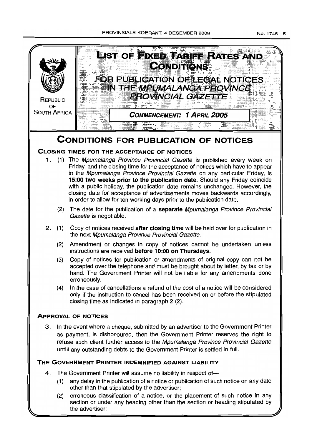

## **THE GOVERNMENT PRINTER INDEMNIFIED AGAINST LIABILITY**

- 4. The Government Printer will assume no liability in respect of-
	- (1) any delay in the publication of a notice or publicatton of such notice on any date other than that stipulated by the advertiser;
	- (2) erroneous classification of a notice, or the placement of such notice in any section or under any heading other than the section or heading stipulated by the advertiser;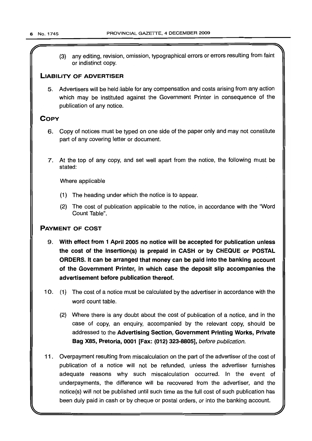(3) any editing, revision, omission, typographical errors or errors resulting from faint or indistinct copy.

## LIABILITY OF ADVERTISER

5. Advertisers will be held liable for any compensation and costs arising from any action which may be instituted against the Government Printer in consequence of the publication of any notice.

## **COPY**

- 6. Copy of notices must be typed on one side of the paper only and may not constitute part of any covering letter or document.
- 7. At the top of any copy, and set well apart from the notice, the following must be stated:

Where applicable

- (1) The heading under which the notice is to appear.
- (2) The cost of publication applicable to the notice, in accordance with the "Word Count Table".

## PAYMENT OF COST

- 9. With effect from 1 April 2005 no notice will be accepted for publication unless the cost of the insertion(s) is prepaid in CASH or by CHEQUE or POSTAL ORDERS. It can be arranged that money can be paid into the banking account of the Government Printer, in which case the deposit Slip accompanies the advertisement before publication thereof.
- 10. (1) The cost of a notice must be calculated by the advertiser in accordance with the word count table.
	- (2) Where there is any doubt about the cost of publication of a notice, and in the case of copy, an enquiry, accompanied by the relevant copy, should be addressed to the Advertising Section, Government Printing Works, Private Bag X85, Pretoria, 0001 [Fax: (012) 323-8805], before publication.
- 11 . Overpayment resulting from miscalculation on the part of the advertiser of the cost of publication of a notice will not be refunded, unless the advertiser furnishes adequate reasons why such miscalculation occurred. In the event of underpayments, the difference will be recovered from the advertiser, and the notice(s) will not be published until such time as the full cost of such publication has been duly paid in cash or by cheque or postal orders, or into the banking account.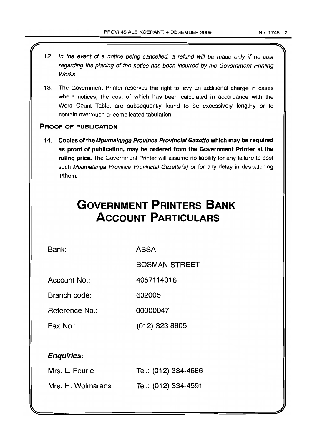- 12. In the event of a notice being cancelled, a refund will be made only if no cost regarding the placing of the notice has been incurred by the Government Printing Works.
- 13. The Government Printer reserves the right to levy an additional charge in cases where notices, the cost of which has been calculated in accordance with the Word Count Table, are subsequently found to be excessively lengthy or to contain overmuch or complicated tabulation.

## PROOF OF PUBLICATION

r

14. Copies of the Mpumalanga Province Provincial Gazette which may be required as proof of publication, may be ordered from the Government Printer at the ruling price. The Government Printer will assume no liability for any failure to post such Mpumalanga Province Provincial Gazette(s) or for any delay in despatching it/them.

# **GOVERNMENT PRINTERS BANK ACCOUNT PARTICULARS**

Bank: ABSA

BOSMAN STREET

Account No.: 4057114016

Branch code: 632005

Reference No.: 00000047

Fax No.: (012) 323 8805

## Enquiries:

| Mrs. L. Fourie    | Tel.: (012) 334-4686 |
|-------------------|----------------------|
| Mrs. H. Wolmarans | Tel.: (012) 334-4591 |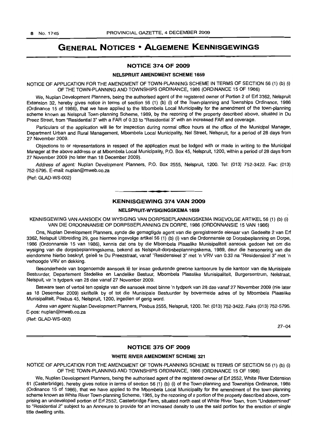## **GENERAL NOTICES • ALGEMENE KENNISGEWINGS**

#### **NOTICE 374 OF 2009**

#### **NELSPRUIT AMENDMENT SCHEME** 1659

NOTICE OF APPLICATION FOR THE AMENDMENT OF TOWN-PLANNING SCHEME IN TERMS OF SECTION 56 (1) (b) (i) OF THE TOWN-PLANNING AND TOWNSHIPS ORDINANCE, 1986 (ORDINANCE 15 OF 1986)

We, Nuplan Development Planners, being the authorised agent of the registered owner of Portion 2 of Erf 3362, Nelspruit Extension 32, hereby gives notice in terms of section 56 (1) (b) (i) of the Town-planning and Townships Ordinance, 1986 (Ordinance 15 of 1986), that we have applied to the Mbombela Local Municipality for the amendment of the town-planning scheme known as Nelspruit Town-planning Scheme, 1989, by the rezoning of the property described above, situated in Du Preez Street, from "Residential 3" with a FAR of 0.33 to "Residential 3" with an increased FAR and coverage.

Particulars of the application will lie for inspection during normal office hours at the office of the Municipal Manager, Department Urban and Rural Management, Mbombela Local Municipality, Nel Street, Nelspruit, for a period of 28 days from 27 November 2009.

Objections to or representations in respect of the application must be lodged with or made in writing to the Municipal Manager at the above address or at Mbombela Local Municipality, P.O. Box 45, Nelspruit, 1200, within a period of 28 days from 27 November 2009 (no later than 18 December 2009).

Address of agent: Nuplan Development Planners, P.O. Box 2555, Nelspruit, 1200. Tel: (013) 752-3422. Fax: (013) 752-5795. E-mail: nuplan@mweb.co.za

(Ref: GLAD-WS-002)

#### **KENNISGEWING 374 VAN 2009**

**- .**

#### **NELSPRUIT-WYSIGINGSKEMA** 1659

KENNISGEWING VAN AANSOEK OM WYSIGING VAN DORPSBEPLANNINGSKEMA INGEVOLGE ARTIKEL 56 (1) (b) (i) VAN DIE ORDONNANSIE OP DORPSBEPLANNING EN DORPE, 1986 (ORDONNANSIE 15 VAN 1986)

Ons, Nuplan Development Planners, synde die gemagtigde agent van die geregistreerde eienaar van Gedeelte 2 van Erf 3362, Nelspuit Uitbreiding 29, gee hiermee ingevolge artikel 56 (1) (b) (i) van die Ordonnansie op Dorpsbeplanning en Dorpe, 1986 (Ordonnansie 15 van 1986), kennis dat ons by die Mbombela Plaaslike Munisipaliteit aansoek gedoen het om die wysiging van die dorpsbeplanningskema, bekend as Nelspruit-dorpsbeplanningskema, 1989, deur die hersonering van die eiendomme hierbo beskryf, gelee te Du Preezstraat, vanaf "Residensieel 3" met 'n VRV van 0.33 na "Residensieel 3" met 'n verhoogde VRV en dekking.

Besonderhede van bogenoemde aansoek Ie ter insae gedurende gewone kantoorure by die kantoor van die Munisipale Bestuurder, Departement Stedelike en Landelike Bestuur, Mbombela Plaaslike Munisipaliteit, Burgersentrum, Nelstraat, Nelspuit, vir 'n tydperk van 28 dae vanaf 27 November 2009.

Besware teen of vertoë ten opsigte van die aansoek moet binne 'n tydperk van 28 dae vanaf 27 November 2009 (nie later as 18 Desember 2009) skriftelik by of tot die Munisipale Bestuurder by bovermelde adres of by Mbombela Plaaslike Munisipaliteit, Posbus 45, Nelspruit, 1200, ingedien of gerig word.

Adres van agent: Nuplan Development Planners, Posbus 2555, Nelspruit, 1200. Tel: (013) 752-3422. Faks (013) 752-5795. E-pos: nuplan@mweb.co.za

(Ref: GLAD-WS-002)

27-04

#### **NOTICE 375 OF 2009**

#### **WHITE RIVER AMENDMENT SCHEME** 321

NOTICE OF APPLICATION FOR THE AMENDMENT OF TOWN-PLANNING SCHEME IN TERMS OF SECTION 56 (1) (b) (i) OF THE TOWN-PLANNING AND TOWNSHIPS ORDINANCE, 1986 (ORDINANCE 15 OF 1986)

We, Nuplan Development Planners, being the authorised agent of the registered owner of Erf 2552, White River Extension 61 (Casterbridge), hereby gives notice in terms of section 56 (1) (b) (i) of the Town-planning and Townships Ordinance, 1986 (Ordinance 15 of 1986), that we have applied to the Mbombela Local Municipality for the amendment of the town-planning scheme known as White River Town-planning Scheme, 1985, by the rezoning of a portion of the property described above, comprising an undeveloped portion of Erf 2552, Casterbridge Farm, situated north east of White River Town, from "Undetermined" to "Residential 2" subject to an Annexure to provide for an increased density to use the said portion for the erection of single title dwelling units.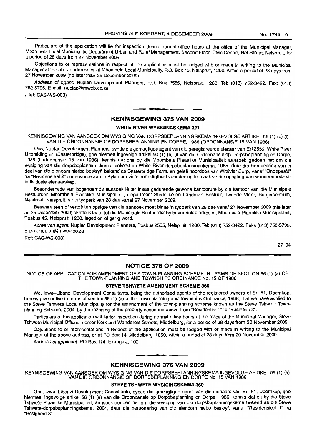Particulars of the application will lie for inspection during normal office hours at the office of the Municipal Manager, Mbombela Local Municipality, Department Urban and Rural Management, Second Floor, Civic Centre, Nel Street, Nelspruit, for a period of 28 days from 27 November 2009.

Objections to or representations in respect of the application must be lodged with or made in writing to the Municipal Manager at the above address or at Mbombela Local Municipality, P.O. Box 45, Nelspruit, 1200, within a period of 28 days from 27 November 2009 (no later than 25 December 2009).

Address of agent: Nuplan Development Planners, P.O. Box 2555, Nelspruit, 1200. Tel: (013) 752-3422. Fax: (013) 752-5795. E-mail: nuplan@mweb.co.za

(Ref: CAS-WS-003)

#### **-. KENNISGEWING <sup>375</sup> VAN <sup>2009</sup>**

#### **WHITE RIVER-WYSIGINGSKEMA 321**

KENNISGEWING VAN AANSOEK OM WYSIGING VAN DORPSBEPLANNINGSKEMA INGEVOLGE ARTIKEL 56 (1) (b) (I) VAN DIE ORDONNANSIE OP DORPSBEPLANNING EN DORPE, 1986 (ORDONNANSIE 15 VAN 1986)

Ons, Nuplan Development Planners, synde die gemagtigde agent van die geregistreerde eienaar van Erf 2552, White River Uitbreiding 61 (Casterbridge), gee hiermee ingevolge artikel 56 (1) (b) (i) van die Ordonnansie op Dorpsbeplanning en Dorpe, 1986 (Ordonnansie 15 van 1986), kennis dat ons by die Mbombela Plaaslike Munisipaliteit aansoek gedoen het om die wysiging van die dorpsbeplanningskema, bekend as White River-dorpsbeplanningskema, 1985, deur die hersonering van 'n deel van die eiendom hierbo beskryf, bekend as Casterbridge Farm, en geleë noordoos van Witrivier Dorp, vanaf "Onbepaald" na "Residensieel 2" onderworpe aan 'n Bylae om vir 'n hoer digtheid voorsiening te maak vir die oprigting van wooneenhede vir individuele eienaarskap.

Besonderhede van bogenoemde aansoek lê ter insae gedurende gewone kantoorure by die kantoor van die Munisipale Bestuurder, Mbombela Plaaslike Munisipaliteit, Department Stedelike en Landelike Bestuur, Tweede Vloer, Burgersentrum, Nelstraat, Nelspruit, vir 'n tydperk van 28 dae vanaf 27 November 2009.

Besware teen of vertoë ten opsigte van die aansoek moet binne 'n tydperk van 28 dae vanaf 27 November 2009 (nie later as 25 Desember 2009) skriftelik by of tot die Munisipale Bestuurder by bovermelde adres of, Mbombela Plaaslike Munisipaliteit, Posbus 45, Nelspruit, 1200, ingedien of gerig word.

Adres van agent: Nuplan Development Planners, Posbus 2555, Nelspruit, 1200. Tel: (013) 752-3422. Faks (013) 752-5795. E-pos: nuplan@mweb.co.za

Ref: CAS-WS-003)

27-04

#### **NOTICE 376 OF 2009**

NOTICE OF APPLICATION FOR AMENDMENT OF A TOWN-PLANNING SCHEME IN TERMS OF SECTION 56 (1) (a) OF THE TOWN-PLANNING AND TOWNSHIPS ORDINANCE No. 15 OF 1986

#### **STEVE TSHWETE AMENDMENT SCHEME 360**

We, Izwe-Libanzi Development Consultants, being the authorised agents of the registered owners of Erf 51, Doornkop, hereby give notice in terms of section 56 (1) (a) of the Town-planning and Townships Ordinance, 1986, that we have applied to the Steve Tshwete Local Municipality for the amendment of the town-planning scheme known as the Steve Tshwete Townplanning Scheme, 2004, by the rezoning of the property described above from "Residential 1" to "Business 3".

Particulars of the application will lie for inspection during normal office hours at the office of the Municipal Manager, Steve Tshwete Municipal Offices, corner Kerk and Wanderers Streets, Middelburg, for a period of 28 days from 20 November 2009.

Objections to or representations in respect of the application must be lodged with or made in writing to the Municipal Manager at the above address, or at PO Box 14, Middelburg, 1050, within a period of 28 days from 20 November 2009.

Address of applicant: PO Box 114, Ekangala, 1021.

## **• I KENNISGEWING 376 VAN 2009**

KENNISGEWING VAN AANSOEK OM WYSIGING VAN DIE DORPSBEPLANNINGSKEMA INGEVOLGE ARTIKEL 56 (1) (a) VAN DIE ORDONNANSIE OP DORPSBEPLANNING EN DORPE No. 15 VAN 1986

#### **STEVE TSHWETE WYSIGINGSKEMA 360**

Ons, Izwe-Libanzi Development Consultants, synde die gemagtigde agent van die eienaars van Erf 51, Doornkop, gee hiermee, ingevolge artikel 56 (1) (a) van die Ordonnansie op Dorpsbeplanning en Dorpe, 1986, kennis dat ek by die Steve Tshwete Plaaslike Munisipaliteit, aansoek gedoen het om die wysiging van die dorpsbeplanningskema bekend as die Steve Tshwete-dorpsbeplanningskema, 2004, deur die hersonering van die eiendom hiebo beskryf, vanaf "Residensieel 1" na "Besigheid 3".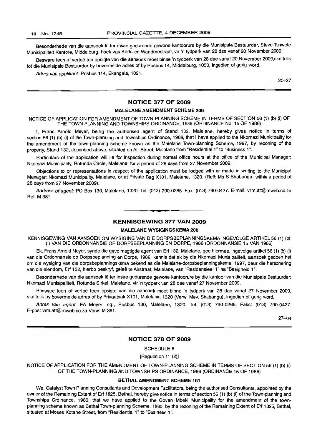Besonderhede van die aansoek lê ter insae gedurende gewone kantoorure by die Munisipale Bestuurder, Steve Tshwete Munisipaliteit Kantore, Middelburg, hoek van Kerk- en Wanderestraat, vir 'n tydperk van 28 dae vanaf 20 November 2009.

Besware teen of vertoë ten opsigte van die aansoek moet binne 'n tydperk van 28 dae vanaf 20 November 2009,skriftelik tot die Munisipale Bestuurder by bovermelde adres of by Posbus 14, Middelburg, 1050, ingedien of gerig word.

Adres van applikant: Posbus 114, Ekangala, 1021.

20-27

#### **NOTICE 377 OF 2009**

#### **MALELANE AMENDMENT SCHEME 206**

NOTICE OF APPLICATION FOR AMENDMENT OF TOWN-PLANNING SCHEME IN TERMS OF SECTION 56 (1) (b) (i) OF THE TOWN-PLANNING AND TOWNSHIPS ORDINANCE, 1986 (ORDINANCE No. 15 OF 1986)

I, Frans Arnold Meyer, being the authorised agent of Stand 132, Malelane, hereby gives notice in terms of section 56 (1) (b) (i) of the Town-planning and Townships Ordinance, 1986, that I have applied to the Nkomazi Municipality for the amendment of the town-planning scheme known as the Malelane Town-planning Scheme, 1997, by rezoning of the property, Stand 132, described above, situated on Air Street, Malelane from "Residential 1" to "Business 1".

Particulars of the application will lie for inspection during normal office hours at the office of the Municipal Manager: Nkomazi Municipality, Rotunda Circle, Malelane, for a period of 28 days from 27 November 2009.

Objections to or representations in respect of the application must be lodged with or made in writing to the Municipal Manager: Nkomazi Municipality, Malelane, or at Private Bag X101, Malelane, 1320. (Reff: Ms S Shabangu, within a period of 28 days from 27 November 2009).

Address of agent: PO Box 130, Malelane, 1320. Tel: (013) 790-0265. Fax: (013) 790-0427, E-mail: vrm.att@mweb.co.za Ref: M 381.

#### **KENNISGEWING 377 VAN 2009**

**.-**

#### **MALELANE WYSIGINGSKEMA 206**

KENNISGEWING VAN AANSOEK OM WYSIGING VAN DIE DORPSBEPLANNINGSKEMA INGEVOLGE ARTIKEL 56 (1) (b) (i) VAN DIE ORDONNANSIE OP DORPSBEPLANNING EN DORPE, 1986 (ORDONNANSIE 15 VAN 1986)

Ek, Frans Arnold Meyer, synde die gevolmagtigde agent van Erf 132, Malelane, gee hiermee, ingevolge artikel 56 (1) (b) (I) van die Ordonnansie op Dorpsbeplanning en Dorpe, 1986, kennis dat ek by die Nkomazi Munisipaliteit, aansoek gedoen het om die wysiging van die dorpsbeplanningskema bekend as die Malelane-dorpsbeplanningskema, 1997, deur die hersonering van die eiendom, Erf 132, hierbo beskryf, gelee te Airstraat, Malelane, van "Residensieel 1" na "Besigheid 1",

Besonderhede van die aansoek lê ter insae gedurende gewone kantoorure by die kantoor van die Munisipale Bestuurder: Nkomazi Munisipaliteit, Rotunda Sirkel, Malelane, vir 'n tydperk van 28 dae vanaf 27 November 2009.

Besware teen of vertoe teen opsigte van die aansoek moet binne 'n tydperk van 28 dae vanaf 27 November 2009, skriftelik by bovermelde adres of by Privaatsak X101, Malelane, 1320 (Verw: Mev. Shabangu), ingedien of gerig word.

Adres van agent: FA Meyer Ing., Posbus 130, Malelane, 1320. Tel: (013) 790-0265. Faks: (013) 790-0427. E-pos: vrm.att@mweb.co.za Verw: M 381.

27-04

#### **NOTICE 378 OF 2009**

SCHEDULE 8

[Regulation 11 (2)]

NOTICE OF APPLICATION FOR THE AMENDMENT OF TOWN-PLANNING SCHEME IN TERMS OF SECTION 56 (1) (b) (i) OF THE TOWN-PLANNING AND TOWNSHIPS ORDINANCE, 1986 (ORDINANCE 15 OF 1986)

#### **BETHALAMENDMENT SCHEME 161**

We, Catalyst Town Planning Consultants and Development Facilitators, being the authorised Consultants, appointed by the owner of the Remaining Extent of Erf 1825, Bethal, hereby give notice in terms of section 56 (1) (b) (i) of the Town-planning and Townships Ordinance, 1986, that we have applied to the Govan Mbeki Municipality for the amendment of the townplanning scheme known as Bethal Town-planning Scheme, 1980, by the rezoning of the Remaining Extent of Erf 1825, Bethal, situated at Moses Kotane Street, from "Residential 1" to "Business 1".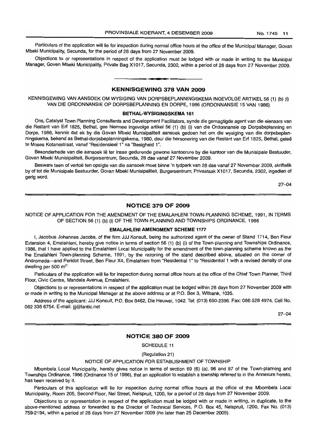Particulars of the application will lie for inspection during normal office hours at the office of the Municipal Manager, Govan Mbeki Municipality, Secunda, for the period of 28 days from 27 November 2009.

Objections to or representations in respect of the application must be lodged with or made in writing to the Municipal Manager, Goven Mbeki Municipality, Private Bag X1017, Secunda, 2302, within a period of 28 days from 27 November 2009.

<sup>I</sup> **••**

#### **KENNISGEWING 378 VAN 2009**

KENNISGEWING VAN AANSOEK OM WYSIGING VAN DORPSBEPLANNINGSKEMA INGEVOLGE ARTIKEL 56 (1) (b) (i) VAN DIE ORDONNANSIE OP DORPSBEPLANNING EN DORPE, 1986 (ORDONNANSIE 15 VAN 1986)

#### **BETHAL-WYSIGINGSKEMA 161**

Ons, Catalyst Town Planning Consultants and Development Facilitators, synde die gemagtigde agent van die eienaars van die Restant van Erf 1825, Bethal, gee hiermee ingevolge artikel 56 (1) (b) (i) *van* die Ordonnansie op Dorpsbeplanning en Dorpe, 1986, kennis dat ek by die Govan Mbeki Munisipaliteit aansoek gedoen het om die wysiging van die dorpsbeplanningskema, bekend as Bethal-dorpsbeplanningskema, 1980, deur die hersonering van die Restant *van* Erf 1825, Bethal, gelee te Moses Kotanestraat, vanaf "Residensieel 1" na "Besigheid 1".

Besonderhede van die aansoek lê ter insae gedurende gewone kantoorure by die kantoor van die Munisipale Bestuuder, Govan Mbeki Munisipaliteit, Burgersentrum, Secunda, 28 dae vanaf 27 November 2009.

Besware teen of vertoë ten opsigte van die aansoek moet binne 'n tydperk van 28 dae vanaf 27 November 2009, skriftelik by of tot die Munisipale Bestuurder, Govan Mbeki Munisipaliteit, Burgersentrum; Privaatsak X1017, Secunda, 2302, ingedien of gerig word.

27-04

#### **NOTICE 379 OF 2009**

NOTICE OF APPLICATION FOR THE AMENDMENT OF THE EMALAHLENI TOWN-PLANNING SCHEME, 1991, IN TERMS OF SECTION 56 (1) (b) (i) OF THE TOWN-PLANNING AND TOWNSHIPS ORDINANCE, 1986

#### **EMALAHLENI AMENDMENT SCHEME 1177**

I, Jacobus Johannes Jacobs, of the firm JJJ Konsult, being the authorized agent of the owner of Stand 1714, Ben Fleur Extension 4, Emalahleni, hereby give notice in terms of section 56 (1) (b) (i) of the Town-planning and Townships Ordinance, 1986, that I have applied to the Emalahleni Local Municipality for the amendment of the town-planning scheme known as the the Emalahleni Town-planning Scheme, 1991, by the rezoning of the stand described above, situated on the corner of Andromeda-and Peridot Street, Ben Fleur X4, Emalahleni from "Residential 1" to "Residential 1 with a revised density of one dwelling per 500 m<sup>2".</sup>

Particulars of the application will lie for inspection during normal office hours at the office of the Chief Town Planner, Third Floor, Civic Centre, Mandela Avenue, Emalahleni.

Objections to or representations in respect of the application must be lodged within 28 days from 27 November 2009 with or made in writing to the Municipal Manager at the above address or at P.O. Box 3, Witbank, 1035.

Address of the applicant: JJJ Konsult, P.O. Box 8462, Die Heuwel, 1042. Tel: (013) 650-2396. Fax: 086 528 4974. Cell No. 082 338 6754. E-mail: jjj@lantic.net

27-04

#### **NOTICE 380 OF 2009**

SCHEDULE 11

(Regulation 21)

#### NOTICE OF APPLICATION FOR ESTABLISHMENT OF TOWNSHIP

Mbombela Local Municipality, hereby gives notice in terms of section 69 (6) (a), 96 and 97 of the Town-planning and Townships Ordinance, 1986 (Ordinance 15 of 1986), that an application to establish a township referred to in the Annexure hereto, has been received by it.

Particulars of this application will lie for inspection during normal office hours at the office of the Mbombela Local Municipality, Room 205, Second Floor, Nel Street, Nelspruit, 1200, for a period of 28 days from 27 November 2009.

Objections to or representation in respect of the application must be lodged with or made in writing, in duplicate, to the above-mentioned address or forwarded to the Director of Technical Services, P.O. Box 45, Nelspruit, 1200, Fax No. (013) 759-2194, within a period of 28 days from 27 November 2009 (no later than 25 December 2009).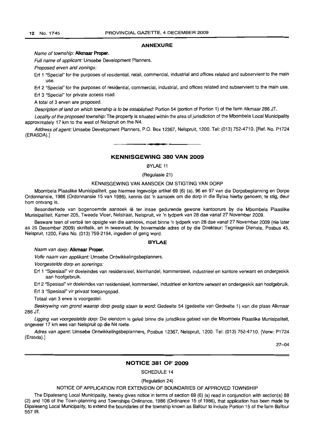#### **ANNEXURE**

Name of township: **A1kmaar Proper.**

Full name of applicant: Umsebe Development Planners.

Proposed erven and zonings:

Erf 1 "Special" for the purposes of residential, retail, commercial, industrial and offices related and subservient to the main use.

Erf 2 "Special" for the purposes of residential, commercial, industrial, and offices related and subservient to the main use. Erf 3 "Special" for private access road.

A total of 3 erven are proposed.

Description of land on which township is to be established: Portion 54 (portion of Portion 1) of the farm Alkmaar 286 JT.

Locality of the proposed township: The property is situated within the area of jurisdiction of the Mbombela Local Municipality approximately 17 km to the west of Nelspruit on the N4.

Address of agent: Umsebe Development Planners, P.O. Box 12367, Nelspruit, 1200. Tel: (013) 752-4710. [Ref. No. P1724 (ERASDA).]

#### **KENNISGEWING 380 VAN 2009**

**• E**

BYLAE 11

(Regulasie 21)

#### KENNISGEWING VAN AANSOEK OM STIGTING VAN DORP

Mbombela Plaaslike Munisipaliteit, gee hiermee ingevolge artikel 69 (6) (a), 96 en 97 van die Dorpsbeplanning en Dorpe Ordonnansie, 1986 (Ordonnansie 15 van 1986), kennis dat 'n aansoek om die dorp in die Bylae hierby genoem, te stig, deur hom ontvang is.

Besonderhede van bogenoemde aansoek lê ter insae gedurende gewone kantoorure by die Mbombela Plaaslike Munisipaliteit, Kamer 205, Tweede Vloer, Nelstraat, Nelspruit, vir 'n tydperk van 28 dae vanaf 27 November 2009.

Besware teen of vertoë ten opsigte van die aansoek, moet binne 'n tydperk van 28 dae vanaf 27 November 2009 (nie later as 25 Desember 2009) skriftelik, en in tweevoud, by bovermelde adres of by die Direkteur: Tegniese Dienste, Posbus 45, Nelspruit, 1200, Faks No. (013) 759-2194, ingedien of gerig word.

#### **BYLAE**

#### Naam van dorp: **A1kmaar Proper.**

Volle naam van applikant: Umsebe Ontwikkelingsbeplanners.

Voorgestelde dorp en sonerings:

Erf 1 "Spesiaal" vir doeleindes van residensieel, kleinhandel, kommersieel, industrieel en kantore verwant en ondergeskik aan hoofgebruik.

Erf 2 "Spesiaal" vir doeleindes van residensieel, kommersieel, industrieel en kantore verwant en ondergeskik aan hoofgebruik.

Erf 3 "Spesiaal" vir privaat toegangspad.

Totaal van 3 erwe is voorgestel.

Beskrywing van grond waarop dorp gestig staan te word: Gedeelte 54 (gedeelte van Gedeelte 1) van die plaas Alkmaar 286 JT.

Ligging van voorgestelde dorp: Die eiendom is geleë binne die jurisdiksie gebied van die Mbombela Plaaslike Munisipaliteit. ongeveer 17 km wes van Nelspruit op die N4 roete.

Adres van agent: Umsebe Ontwikkelingsbeplanners, Posbus 12367, Nelspruit, 1200. Tel: (013) 752-4710. [Verw: P1724 (Erasda).]

27-04

#### **NOTICE 381 OF 2009**

SCHEDULE 14

(Regulation 24)

#### NOTICE OF APPLICATION FOR EXTENSION OF BOUNDARIES OF APPROVED TOWNSHIP

The Dipaleseng Local Municipality, hereby gives notice in terms of section 69 (6) (a) read in conjunction with section(s) 88 (2) and 106 of the Town-planning and Townships Ordinance, 1986 (Ordinance 15 of 1986), that application has been made by Dipaleseng Local Municipality, to extend the boundaries of the township known as Balfour to include Portion 15 of the farm Balfour 5571R.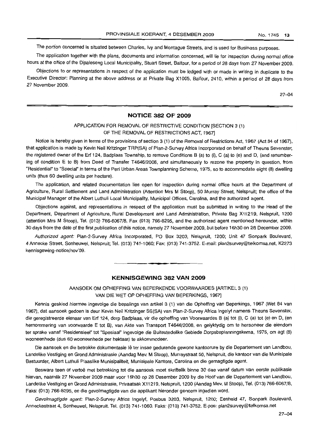The portion concerned is situated between Charles, Ivy and Montague Streets, and is used for Business purposes.

The application together with the plans, documents and information concerned, will lie for inspection during normal office hours at the office of the Dipaleseng Local Municipality, Stuart Street, Balfour, for a period of 28 days from 27 November 2009.

Objections to or representations in respect of the application must be lodged with or made in writing in duplicate to the Executive Director: Planning at the above address or at Private Bag X1005, Balfour, 2410, within a period of 28 days from 27 November 2009.

27-04

#### **NOTICE 382 OF 2009**

## APPLICATION FOR REMOVAL OF RESTRICTIVE CONDITION [SECTION 3 (1) OF THE REMOVAL OF RESTRICTIONS ACT, 1967]

Notice is hereby given in terms of the provisions of section 3 (1) of the Removal of Restrictions Act, 1967 (Act 84 of 1967), that application is made by Kevin Neil Kritzinger TRP(SA) of Plan-2-Survey Africa Incorporated on behalf of Theuns Sevenster, the registered owner of the Erf 124, Badplaas Township, to remove Conditions B (a) to (i), C (a) to (e) and D, (and renumbering of condition E to B) from Deed of Transfer T4646/2008, and simultaneously to rezone the property in question, from "Residential" to "Special" in terms of the Peri Urban Areas Townplanning Scheme, 1975, so to accommodate eight (8) dwelling units (thus 60 dwelling units per hectare).

The application, and related documentation lies open for inspection during normal office hours at the Department of Agriculture, Rural Settlement and Land Administration (Attention Mrs M Stoop), 50 Murray Street, Nelspruit; the office of the Municipal Manager of the Albert Luthuli Local Municipality, Municipal Offices, Carolina, and the authorized agent.

Objections against, and representations in respect of the application must be submitted in writing to the Head of the Department, Department of Agriculture, Rural Development and Land Administration, Private Bag X11219, Nelspruit, 1200 (attention Mrs M Stoop), Tel. (013) 766-6067/8, Fax (013) 766-8295, and the authorized agent mentioned hereunder, within 30 days from the date of the first publication of this notice, namely 27 November 2009, but before 16h30 on 28 December 2009.

Authorized agent: Plan-2-Survey Africa Incorporated, PO Box 3203, Nelspruit, 1200; Unit 47 Sonpark Boulevard, 4 Annecke Street, Sonheuwel, Nelspruit; Tel. (013) 741-1060; Fax: (013) 741-3752. E-mail: plan2survey@telkomsa.net, K2273 kennisgewing-notice/nov'09. **-.**

#### **KENNISGEWING 382 VAN 2009**

AANSOEK OM OPHEFFING VAN BEPERKENDE VOORWAARDES [ARTIKEL 3 (1) VAN DIE WET OP OPHEFFING VAN BEPERKINGS, 1967]

Kennis geskied hiermee ingevolge die bepalings van artikel 3 (1) van die Opheffing van Beperkings, 1967 *(Wet 84 van* 1967), dat aansoek gedoen is deur Kevin Neil Kritzinger SS(SA) van Plan-2-Survey Africa Ingelyf namens Theuns Sevenster, die geregistreerde eienaar van Erf 124, dorp Badplaas, vir die opheffing van Voorwaardes B (a) tot (i), C (a) tot (e) en 0, (en hernommering van voorwaarde E tot B), van Akte van Transport T4646/2008, en gelyktydig om te hersoneer die eiendom ter sprake vanaf "Residensieel" tot "Spesiaal" ingevolge die Buitestedelike Gebiede Dorpsbeplanningskema, 1975, om agt (8) wooneenhede (dus 60 wooneenhede per hektaar) te akkommodeer.

Die aansoek en die betrokke dokumentasie lê ter insae gedurende gewone kantoorure by die Departement van Landbou, Landelike Vestiging en Grond Administrasie (Aandag Mev. M Stoop), Murraystraat 50, Nelspruit, die kantoor van die Munisipale Bestuurder, Albert Luthuli Plaaslike Munisipaliteit, Munisipale Kantore, Carolina en die gemagtigde agent.

Besware teen of vertoe met betrekking tot die aansoek moet skriftelik binne 30 dae vanaf datum van eerste publikasie hiervan, naamfik 27 November 2009 maar voor 16h30 op 28 Desember 2009 by die Hoof van die Departement van Landbou, Landelike Vestiging en Grond Administrasie, Privaatsak X11219, Nelspruit, 1200 (Aandag Mev. M Stoop), Tel. (013) 766-6067/8, Faks: (013) 766-8295, en die gevolmagtigde van die applikant hieronder genoem ingedien word.

Gevolmagtigde agent: Plan-2-Survey Africa Ingelyf, Posbus 3203, Nelspruit, 1200; Eenheid 47, Sonpark Boulevard, Anneckestraat 4, Sonheuwel, Nelspruit. Tel. (013) 741-1060. Faks: (013) 741-3752. E-pos: plan2survey@telkomsa.net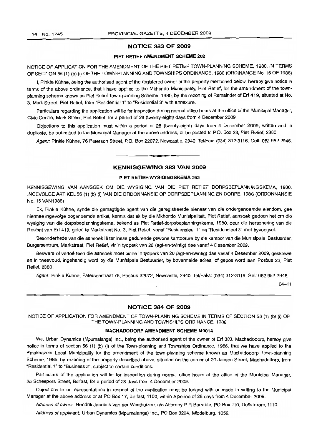#### **NOTICE 383 OF 2009**

#### **PIET RETIEF AMENDMENT SCHEME 202**

NOTICE OF APPLICATION FOR THE AMENDMENT OF THE PIET RETIEF TOWN-PLANNING SCHEME, 1980, IN TERMS OF SECTION 56 (1) (b) (i) OF THE TOWN-PLANNING AND TOWNSHIPS ORDINANCE, 1986 (ORDINANCE No. 15 OF 1986)

I, Pinkie Kühne, being the authorised agent of the registered owner of the property mentioned below, hereby give notice in terms of the above ordinance, that I have applied to the Mkhondo Municipality, Piet Retief, for the amendment of the townplanning scheme known as Piet Retief Town-planning Scheme, 1980, by the rezoning of Remainder of Erf 419, situated at No. 3, Mark Street, Piet Retief, from "Residential 1" to "Residential 3" with annexure.

Particulars regarding the application will lie for inspection during normal office hours at the office of the Municipal Manager, Civic Centre, Mark Street, Piet Retief, for a period of 28 (twenty-eight) days from 4 December 2009.

Objections to this application must within a period of 28 (twenty-eight) days from 4 December 2009, written and in duplicate, be submitted to the Municipal Manager at the above address, or be posted to P.O. Box 23, Piet Retief, 2380.

Agent: Pinkie Kühne, 76 Paterson Street, P.O. Box 22072, Newcastle, 2940. Tel/Fax: (034) 312-3116. Cell: 082 952 2946.

#### **KENNISGEWING 383 VAN 2009**

**•**

#### **PIET RETIEF-WYSIGINGSKEMA** 202

KENNISGEWING VAN AANSOEK OM DIE WYSIGING VAN DIE PIET RETIEF DORPSBEPLANNINGSKEMA, 1980, INGEVOLGE ARTIKEL 56 (1) (b) (i) VAN DIE ORDONNANSIE OP DORPSBEPLANNING EN DORPE, 1986 (ORDONNANSIE No. 15 VAN1986)

Ek, Pinkie Kuhne, synde die gemagtigde agent van die geregistreerde eienaar van die ondergenoemde eiendom, gee hiermee ingevolge bogenoemde artikel, kennis dat ek by die Mkhondo Munisipaliteit, Piet Retief, aansoek gedoen het om die wysiging van die dorpsbeplanningskema, bekend as Piet Retief-dorpsbeplanningskema, 1980, deur die hersonering van die Restant van Erf 419, gelee te Markstraat No.3, Piet Retief, vanaf "Residensieel 1" na "Residensieel 3" met byvoegsel.

Besonderhede van die aansoek lê ter insae gedurende gewone kantoorure by die kantoor van die Munisipale Bestuurder, Burgersentrum, Markstraat, Piet Retief, vir 'n tydperk van 28 (agt-en-twintig) dae vanaf 4 Desember 2009.

Besware of vertoë teen die aansoek moet binne 'n tydperk van 28 (agt-en-twintig) dae vanaf 4 Desember 2009, geskrewe en in tweevoud, ingehandig word by die Munisipale Bestuurder, by bovermelde adres, of gepos word aan Posbus 23, Piet Retief, 2380.

Agent: Pinkie Kühne, Patersonstraat 76, Posbus 22072, Newcastle, 2940. Tel/Faks: (034) 312-3116. Sel: 082 952 2946.

04-11

#### **NOTICE 384 OF 2009**

NOTICE OF APPLICATION FOR AMENDMENT OF TOWN-PLANNING SCHEME IN TERMS OF SECTION 56 (1) (b) (i) OF THE TOWN-PLANNING AND TOWNSHIPS ORDINANCE, 1986

#### **MACHADODORP AMENDMENT SCHEME M0014**

We, Urban Dynamics (Mpumalanga) Inc., being the authorised agent of the owner of Erf 383, Machadodorp, hereby give notice in terms of section 56 (1) (b) (i) of the Town-planning and Townships Ordinance, 1986, that we have applied to the Emakhazeni Local Municipality for the amendment of the town-planning scheme known as Machadodorp Town-planning Scheme, 1985, by rezoning of the property described above, situated on the corner of 20 Janson Street, Machadodorp, from "Residential 1" to "Business 2", SUbject to certain conditions.

Particulars of the application will lie for inspection during normal office hours at the office of the Municipal Manager, 25 Scheepers Street, Belfast, for a period of 28 days from 4 December 2009.

Objections to or representations in respect of the application must be lodged with or made in writing to the Municipal Manager at the above address or at PO Box 17, Belfast, 1100, within a period of 28 days from 4 December 2009.

Address of owner: Hendrik Jacobus van der Westhuizen, c/o Attorney P R Barrable, PO Box 110, Dullstroom, 1110.

Address of applicant: Urban Dynamics (Mpumalanga) Inc., PO Box 3294, Middelburg, 1050.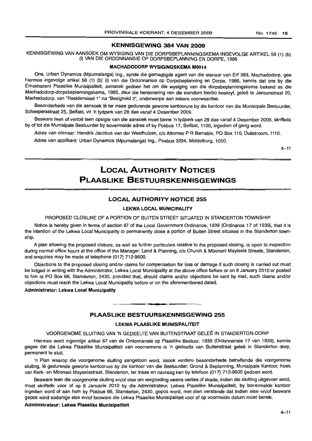#### KENNISGEWING 384 VAN 2009

KENNISGEWING VAN AANSOEK OM WYSIGING VAN DIE DORPSBEPLANNINGSKEMA INGEVOLGE ARTIKEL 56 (1) (b) (i) VAN DIE ORDONNANSIE OP DORPSBEPLANNING EN DORPE, 1986

#### MACHADODORP WYSIGINGSKEMA M0014

Ons, Urban Dynamics (Mpumalanga) Ing., synde die gemagtigde agent van die eienaar van Erf 383, Machadodorp, gee hiermee ingevolge artikel 56 (1) (b) (i) van die Ordonnansie op Dorpsbeplanning en Dorpe, 1986, kennis dat ons by die Emakhazeni Plaaslike Munisipaliteit, aansoek gedoen het om die wysiging van die dorpsbeplanningskema bekend as die Machadodorp-dorpsbeplanningskema, 1985, deur die hersonering van die eiendom hierbo beskryf, gelee te Jansonstraat 20, Machadodorp, van "Residensieel 1" na "Besigheid 2", onderworpe aan sekere voorwaardes.

Besonderhede van die aansoek lê ter insae gedurende gewone kantoorure by die kantoor van die Munisipale Bestuurder, Scheepersstraat 25, Belfast, vir 'n tydperk van 28 dae vanaf 4 Desember 2009.

Besware teen of vertoë teen opsigte van die aansoek moet binne 'n tydperk van 28 dae vanaf 4 Desember 2009, skriftelik by of tot die Munisipale Bestuurder by bovermelde adres of by Posbus 17, Belfast, 1100, ingedien of gerig word.

Adres van eienaar: Hendrik Jacobus van der Westhuizen, c/o Attorney P R Barrable, PO Box 110, Dullstroom, 1110.

Adres van applikant: Urban Dynamics (Mpumalanga) Ing., Posbus 3294, Middelburg, 1050.

 $4 - 11$ 

## LOCAL AUTHORITY NOTICES PLAASLIKE BESTUURSKENNISGEWINGS

#### LOCAL AUTHORITY NOTICE 255

#### LEKWA LOCAL MUNICIPALITY

PROPOSED CLOSURE OF A PORTION OF BUITEN STREET SITUATED IN STANDERTON TOWNSHIP

Notice is hereby given in terms of section 67 of the Local Government Ordinance, 1939 (Ordinance 17 of 1939), that it is the intention of the Lekwa Local Municipality to permanently close a portion of Buiten Street situated in the Standerton township.

A plan showing the proposed closure, as well as further particulars relative to the proposed closing, is open to inspection during normal office hours at the office of the Manager: Land & Planning, c/o Church & Mbonani Mayisela Streets, Standerton, and enquiries may be made at telephone (017) 712-9600.

Objections to the proposed closing and/or claims for compensation for loss or damage if such closing is carried out must be lodged in writing with the Administrator, Lekwa Local Municipality at the above office before or on 8 January 2010 or posted to him at PO Box 66, Standerton, 2430, provided that, should claims and/or objections be sent by mail, such claims and/or objections must reach the Lekwa Local Municipality before or on the aforementioned dated.

#### Administrator: Lekwa Local Municipality

#### PLAASLIKE BESTUURSKENNISGEWING 255

**•**

#### LEKWA PLAASLIKE MUNISIPALITEIT

#### VOORGENOME SLUITING VAN 'N GEDEELTE VAN BUITENSTRAAT GELEE IN STANDERTON-DORP

Hiermee word ingevolge artikel 67 van de Ordonnansie op Plaaslike Bestuur, 1939 (Ordonnansie 17 van 1939), kennis gegee dat die Lekwa Plaaslike Munisipaliteit van voornemens is 'n gedeelte van Buitenstraat geleë in Standerton dorp, permanent te sluit.

'n Plan waarop die voorgenome sluiting aangetoon word, asook verdere besonderhede betreffende die voorgenome sluiting, Ie gedurende gewone kantoorure by die kantoor van die Bestuurder: Grond & Beplanning, Munisipale Kantoor, hoek van Kerk- en Mbonani Mayselastraat, Standerton, ter insae en navraag kan by telefoon (017) 712-9600 gedoen word.

Besware teen die voorgenome sluiting en/of eise om vergoeding weens verlies of skade, indien die sluiting uitgevoer word, moet skriftelik voor of op 8 Januarie 2010 by die Admnistrateur, Lekwa Plaaslike Munisipaliteit, by bovermelde kantoor ingedien word of aan hom by Posbus 66, Standerton, 2430, gepos word, met dien verstande dat indien eise en/of besware gepos word sodanige eise en/of besware die Lekwa Plaaslike Munisipaliteit voor of op voormelde datum moet bereik.

#### Administrateur: Lekwa Plaaslike Munisipaliteit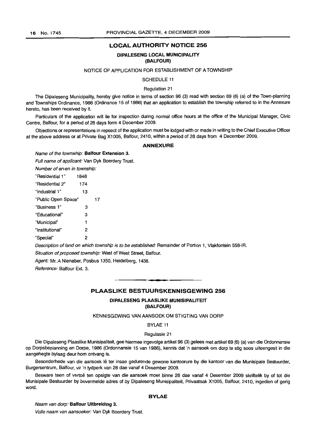#### **DIPALESENG LOCAL MUNICIPALITY (BALFOUR)**

#### NOTICE OF APPLICATION FOR ESTABLISHMENT OF A TOWNSHIP

SCHEDULE 11

Regulation 21

The Dipaleseng Municipality, hereby give notice in terms of section 96 (3) read with section 69 (6) (a) of the Town-planning and Townships Ordinance, 1986 (Ordinance 15 of 1986) that an application to establish the township referred to in the Annexure hereto, has been received by it.

Particulars of the application will lie for inspection during normal office hours at the office of the Municipal Manager, Civic Centre, Balfour, for a period of 28 days form 4 December 2009.

Objections or representations in repsect of the application must be lodged with or made in writing to the Chief Executive Officer at the above address or at Private Bag X1005, Balfour, 2410, within a period of 28 days from 4 December 2009.

#### **ANNEXURE**

Name of the townwhip: **Balfour Extension** 3.

Full name of applicant: Van Dyk Boerdery Trust.

Number of erven in township:

| 1848                |    |
|---------------------|----|
| 174                 |    |
| 13                  |    |
| "Public Open Space" | 17 |
| з                   |    |
| 3                   |    |
| 1                   |    |
| 2                   |    |
| 2                   |    |
|                     |    |

Description of land on which township is to be established: Remainder of Portion 1, Vlakfontein 558-IR. Situation of proposed township: West of West Street, Balfour.

Agent: Mr. A Nienaber, Posbus 1350, Heidelberg, 1438.

Reference: Balfour Ext. 3.

## **• PLAASLIKE BESTUURSKENNISGEWING 256**

#### **DIPALESENG PLAASLIKE MUNISIPALITEIT (BALFOUR)**

KENNISGEWING VAN AANSOEK OM STIGTING VAN DORP

BYLAE 11

#### Regulasie 21

Die Dipaleseng Plaaslike Munisipaliteit, gee hiermee ingevolge artikel 96 (3) gelees met artikel 69 (6) (a) van die Ordonnansie op Dorpsbeplanning en Dorpe, 1986 (Ordonnansie 15 van 1986), kennis dat 'n aansoek om dorp te stig soos uiteengesit in die aangehegte bylaag deur hom ontvang is.

Besonderhede van die aansoek lê ter insae gedurende gewone kantoorure by die kantoor van die Munisipale Bestuurder, Burgersentrum, Balfour, vir 'n tydperk van 28 dae vanaf 4 Desember 2009.

Besware teen of vertoë ten opsigte van die aansoek moet binne 28 dae vanaf 4 Desember 2009 skriftelik by of tot die Munisipale Bestuurder by bovermelde adres of by Dipaleseng Munisipaliteit, Privaatsak X1005, Balfour, 2410, ingedien of gerig word.

#### **BYLAE**

Naam van dorp: **Balfour Uitbreiding** 3.

Volle naam van aansoeker: Van Dyk Boerdery Trust.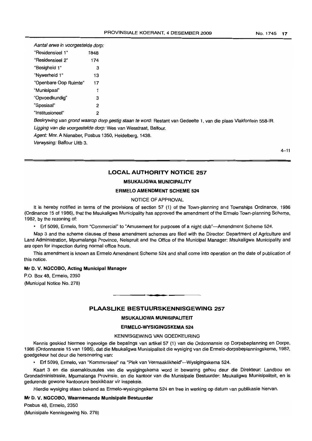| Aantal erwe in voorgestelde dorp: |      |  |  |  |
|-----------------------------------|------|--|--|--|
| "Residensieel 1"                  | 1848 |  |  |  |
| "Residensieel 2"                  | 174  |  |  |  |
| "Besigheid 1"                     | з    |  |  |  |
| "Nywerheid 1"                     | 13   |  |  |  |
| "Openbare Oop Ruimte"             | 17   |  |  |  |
| "Munisipaal"                      | 1    |  |  |  |
| "Opvoedkundig"                    | 3    |  |  |  |
| "Spesiaal"                        | 2    |  |  |  |
| "Institusioneel"                  | 2    |  |  |  |

Beskrywing van grond waarop dorp gestig staan te word: Restant van Gedeelte 1, van die plaas Vlakfontein 558-IR. Ligging van die voorgestelde dorp: Wes van Wesstraat, Balfour.

Agent: Mnr. A Nienaber, Posbus 1350, Heidelberg, 1438.

Verwysing: Balfour Uitb 3.

#### **LOCAL AUTHORITY NOTICE 257**

#### **MSUKALIGWA MUNICIPALITY**

#### **ERMELO AMENDMENT SCHEME 524**

#### NOTICE OF APPROVAL

It is hereby notified in terms of the provisions of section 57 (1) of the Town-planning and Townships Ordinance, 1986 (Ordinance 15 of 1986), that the Msukaligwa Municipality has approved the amendment of the Ermelo Town-planning Scheme, 1982, by the rezoning of:

• Erf 5099, Ermelo, from "Commercial" to "Amusement for purposes of a night club"--Amendment Scheme 524.

Map 3 and the scheme clauses of these amendment schemes are filed with the Director: Department of Agriculture and Land Administration, Mpumalanga Province, Nelspruit and the Office of the Municipal Manager: Msukaligwa Municipality and are open for inspection during normal office hours.

This amendment is known as Ermelo Amendment Scheme 524 and shall come into operation on the date of publication of this notice.

#### **Mr** D. V. **NGCOBO, Acting Municipal Manager**

P.O. Box 48, Ermelo, 2350 (Municipal Notice No. 278)

#### **PLAASLIKE BESTUURSKENNISGEWING 257**

**.-**

#### **MSUKALIGWA MUNISIPALITEIT**

#### **ERMELO-WYSIGINGSKEMA** 524

#### KENNISGEWING VAN GOEDKEURING

Kennis geskied hiermee ingevolge die bepalings van artikel 57 (1) van die Ordonnansie op Dorpsbeplanning en Dorpe, 1986 (Ordonnansie 15 van 1986), dat die Msukaligwa Munisipaliteit die wysiging van die Ermelo-dorpsbeplanningskema, 1982, goedgekeur het deur die hersonering van:

• Erf 5099, Ermelo, van "Kommersieel" na "Plek van Vermaaklikheid"-Wysigingskema 524.

Kaart 3 en die skemaklousules van die wysigingskema word in bewaring gehou deur die Direkteur: Landbou en Grondadministrasie, Mpumalanga Provinsie, en die kantoor van die Munisipale Bestuurder: Msukaligwa Munisipaliteit, en is gedurende gewone kantoorure beskikbaar vir inspeksie.

Hierdie wysiging staan bekend as Ermelo-wysingingskema 524 en tree in werking op datum van publikasie hiervan.

#### **Mr** D. V. **NGCOBO, Waarnemende Munisipale Bestuurder**

Posbus 48, Ermelo, 2350 (Munisipale Kennisgewing No. 278)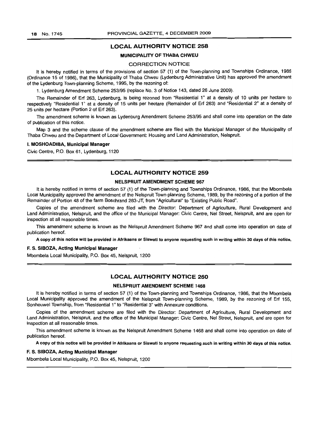#### MUNICIPALITY OF THABA CHWEU

#### CORRECTION NOTICE

It is hereby notified in terms of the provisions of section 57 (1) of the Town-planning and Townships Ordinance, 1986 (Ordinance 15 of 1986), that the Municipality of Thaba Chweu (Lydenburg Administrative Unit) has approved the amendment of the Lydenburg Town-planning Scheme, 1995, by the rezoning of:

1. Lydenburg Amendment Scheme 253/95 (replace No.3 of Notice 143, dated 26 June 2009).

The Remainder of Erf 263, Lydenburg, is being rezoned from "Residential 1" at a density of 10 units per hectare to respectively "Residential 1" at a density of 15 units per hectare (Remainder of Erf 263) and "Residential 2" at a density of 25 units per hectare (Portion 2 of Erf 263).

The amendment scheme is known as Lydenburg Amendment Scheme 253/95 and shall come into operation on the date of publication of this notice.

Map 3 and the scheme clause of the amendment scheme are filed with the Municipal Manager of the Municipality of Thaba Chweu and the Department of Local Government: Housing and Land Administration, Nelspruit.

#### I. MOSHOADIBA, Municipal Manager

Civic Centre, P.O. Box 61, Lydenburg, 1120

## LOCAL AUTHORITY NOTICE 259

#### NELSPRUIT AMENDMENT SCHEME 967

It is hereby notified in terms of section 57 (1) of the Town-planning and Townships Ordinance, 1986, that the Mbombela Local Municipality approved the amendment of the Nelspruit Town-planning Scheme, 1989, by the rezoning of a portion of the Remainder of Portion 48 of the farm Boschrand 283-JT, from "Agricultural" to "Existing Public Road".

Copies of the amendment scheme are filed with the Director: Department of Agriculture, Rural Development and Land Administration, Nelspruit, and the office of the Municipal Manager: Civic Centre, Nel Street, Nelspruit, and are open for inspection at all reasonable times.

This amendment scheme is known as the Nelspruit Amendment Scheme 967 and shall come into operation on date of publication hereof.

A copy of this notice will be provided in Afrikaans or Siswati to anyone requesting such in writing within 30 days of this notice.

#### F. S. SIBOZA, Acting Municipal Manager

Mbombela Local Municipality, P.O. Box 45, Nelspruit, 1200

#### LOCAL AUTHORITY NOTICE 260

#### NELSPRLlIT AMENDMENT SCHEME 1468

It is hereby notified in terms of section 57 (1) of the Town-planning and Townships Ordinance, 1986, that the Mbombela Local Municipality approved the amendment of the Nelspruit Town-planning Scheme, 1989, by the rezoning of Erf 155, Sonheuwel Township, from "Residential 1" to "Residential 3" with Annexure conditions.

Copies of the amendment scheme are filed with the Director: Department of Agriculture, Rural Development and Land Administration, Nelspruit, and the office of the Municipal Manager: Civic Centre, Nel Street, Nelspruit, and are open for inspection at all reasonable times.

This amendment scheme is known as the Nelspruit Amendment Scheme 1468 and shall come into operation on date of publication hereof.

A copy of this notice will be provided in Afrikaans or Siswati to anyone requesting such in writing within 30 days of this notice.

#### F. S. SIBOZA, Acting Municipal Manager

Mbombela Local Municipality, P.O. Box 45, Nelspruit, 1200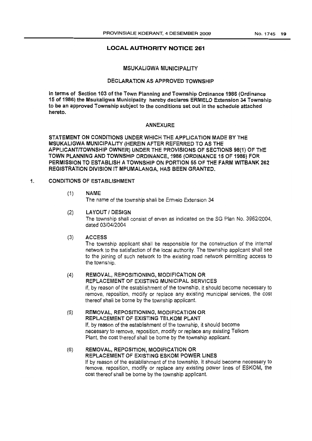#### MSUKALlGWA MUNICIPALITY

#### DECLARATION AS APPROVED TOWNSHIP

In terms of Section 103 of the Town Planning and Township Ordinance 1986 (Ordinance 15 of 1986) the Msukaligwa Municipality hereby declares ERMELO Extension 34 Township to be an approved Township subject to the conditions set out in the schedule attached hereto.

#### ANNEXURE

STATEMENT ON CONDITIONS UNDER WHICH THE APPLICATION MADE BY THE MSUKALIGWA MUNICIPALITY (HEREIN AFTER REFERRED TO AS THE APPLICANTITOWNSHIP OWNER) UNDER THE PROVISIONS OF SECTIONS 98(1) OF THE TOWN PLANNING AND TOWNSHIP ORDINANCE, 1986 (ORDINANCE 15 OF 1986) FOR PERMISSION TO ESTABLISH A TOWNSHIP ON PORTION 55 OF THE FARM WITBANK 262 REGISTRATION DIVISION IT MPUMALANGA, HAS BEEN GRANTED.

#### 1. CONDITIONS OF ESTABLISHMENT

#### (1) NAME

The name of the township shall be Ermelo Extension 34

#### (2) LAYOUT I DESIGN

The township shall consist of erven as indicated on the SG Plan No. *3962/2004,* dated *03/04/2004*

#### (3) ACCESS

The township applicant shall be responsible for the construction of the internal network to the satisfaction of the local authority. The township applicant shall see to the joining of such network to the existing road network permitting access to the township.

## (4) REMOVAL, REPOSITIONING, MODIFICATION OR

REPLACEMENT OF EXISTING MUNICIPAL SERVICES

If, by reason of the establishment of the township, it should become necessary to remove, reposition, modify or replace any existing municipal services, the cost thereof shall be borne by the township applicant.

(5) REMOVAL, REPOSITIONING, MODIFICATION OR REPLACEMENT OF EXISTING TELKOM PLANT If, by reason of the establishment of the township, it should become necessary to remove, reposition, modify or replace any existing Telkom Plant, the cost thereof shall be bome by the township applicant.

(6) REMOVAL, REPOSITION, MODIFICATION OR REPLACEMENT OF EXISTING ESKOM POWER LINES If by reason of the establishment of the township, it should become necessary to remove, reposition, modify or replace any existing power lines of ESKOM, the cost thereof shall be borne by the township applicant.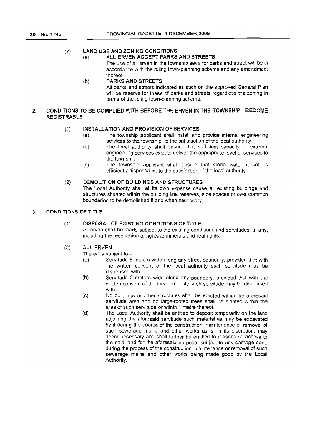#### (7) LAND USE AND ZONING CONDITIONS

## (a) ALL ERVEN ACCEPT PARKS AND STREETS

The use of all erven in the township save for parks and street will be in accordance with the ruling town-planning scheme and any amendment thereof.

(b) PARKS AND STREETS All parks and streets indicated as such on the approved General Plan will be reserve for these of parks and streets regardless the zoning in terms of the ruling town-planning scheme.

#### 2. CONDITIONS TO BE COMPLIED WITH BEFORE THE ERVEN IN THE TOWNSHIP BECOME REGISTRABLE

#### (1) INSTALLATION AND PROVISION OF SERVICES

- (a) The township applicant shall install and provide internal engineering services to the township, to the satisfaction of the local authority.
- (b) The local authority shall ensure that sufficient capacity of external engineering services exist to deliver the appropriate level of services to the township.
- (c) The township applicant shall ensure that storm water run-off is efficiently disposed of, to the satisfaction of the local authority.

#### (2) DEMOLITION OF BUILDINGS AND STRUCTURES

The Local Authority shall at its own expense cause all existing buildings and structures situated within the building line reserves, side spaces or over common boundaries to be demolished if and when necessary.

#### 3. CONDITIONS OF TITLE

#### (1) DISPOSAL OF EXISTING CONDITIONS OF TITLE

All erven shall be made subject to the existing conditions and servitudes, in any, including the reservation of rights to minerals and real rights.

#### (2) ALL ERVEN

The erf is subject to  $-$ 

- (a) Servitude 5 meters wide along any street boundary, provided that with the written consent of the local authority such servitude may be dispensed with.
- (b) Servitude 2 meters wide along any boundary, provided that with the written consent of the local authority such servitude may be dispensed with.
- (c) No buildings or other structures shall be erected within the aforesaid servitude area and no large-rooted trees shall be planted within the area of such servitude or within 1 metre thereof.
- (d) The Local Authority shall be entitled to deposit temporarily on the land adjoining the aforesaid servitude such material as may be excavated by it during the course of the construction, maintenance or removal of such sewerage mains and other works as is, in its discretion, may deem necessary and shall further be entitled to reasonable access to the said land for the aforesaid purpose, subject to any damage done during the process of the construction, maintenance or removal of such sewerage mains and other works being made good by the Local Authority.